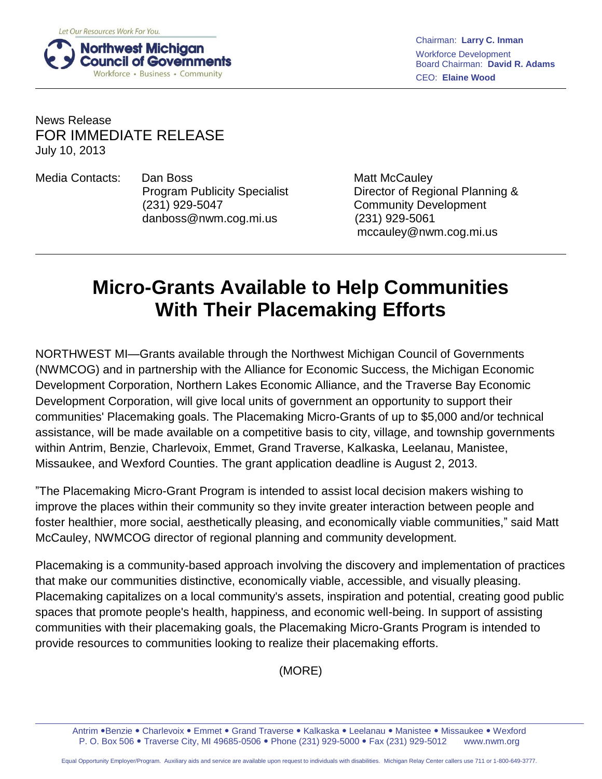

Chairman: **Larry C. Inman** Workforce Development Board Chairman: **David R. Adams** CEO: **Elaine Wood**

## News Release FOR IMMEDIATE RELEASE July 10, 2013

Media Contacts: Dan Boss Media Contacts: Dan Boss Matt McCauley (231) 929-5047 Community Development danboss@nwm.cog.mi.us (231) 929-5061

Program Publicity Specialist **Director of Regional Planning &** mccauley@nwm.cog.mi.us

## **Micro-Grants Available to Help Communities With Their Placemaking Efforts**

NORTHWEST MI—Grants available through the Northwest Michigan Council of Governments (NWMCOG) and in partnership with the Alliance for Economic Success, the Michigan Economic Development Corporation, Northern Lakes Economic Alliance, and the Traverse Bay Economic Development Corporation, will give local units of government an opportunity to support their communities' Placemaking goals. The Placemaking Micro-Grants of up to \$5,000 and/or technical assistance, will be made available on a competitive basis to city, village, and township governments within Antrim, Benzie, Charlevoix, Emmet, Grand Traverse, Kalkaska, Leelanau, Manistee, Missaukee, and Wexford Counties. The grant application deadline is August 2, 2013.

"The Placemaking Micro-Grant Program is intended to assist local decision makers wishing to improve the places within their community so they invite greater interaction between people and foster healthier, more social, aesthetically pleasing, and economically viable communities," said Matt McCauley, NWMCOG director of regional planning and community development.

Placemaking is a community-based approach involving the discovery and implementation of practices that make our communities distinctive, economically viable, accessible, and visually pleasing. Placemaking capitalizes on a local community's assets, inspiration and potential, creating good public spaces that promote people's health, happiness, and economic well-being. In support of assisting communities with their placemaking goals, the Placemaking Micro-Grants Program is intended to provide resources to communities looking to realize their placemaking efforts.

(MORE)

Antrim .Benzie . Charlevoix . Emmet . Grand Traverse . Kalkaska . Leelanau . Manistee . Missaukee . Wexford P. O. Box 506 . Traverse City, MI 49685-0506 . Phone (231) 929-5000 . Fax (231) 929-5012 www.nwm.org